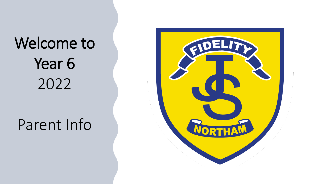# Welcome to Year 6 2022

### Parent Info

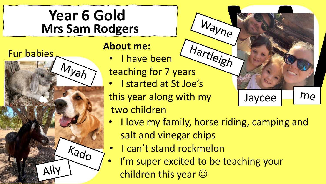#### **Year 6 Gold Mrs Sam Rodgers**



#### **About me:**

- I have been
- about me.<br>• I have been the vietes of the teaching for 7 years
- I started at St Joe's
- this year along with my two children
- I love my family, horse riding, camping and salt and vinegar chips

Wayne

Jaycee

me

- I can't stand rockmelon
- I'm super excited to be teaching your children this year  $\odot$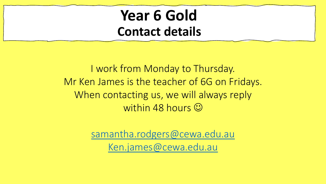#### **Year 6 Gold Contact details**

I work from Monday to Thursday. Mr Ken James is the teacher of 6G on Fridays. When contacting us, we will always reply within 48 hours  $\odot$ 

> [samantha.rodgers@cewa.edu.au](mailto:samantha.rodgers@cewa.edu.au) [Ken.james@cewa.edu.au](mailto:Ken.james@cewa.edu.au)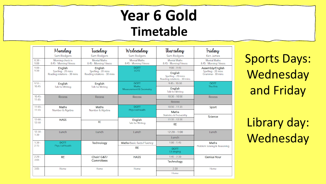#### **Year 6 Gold Timetable**

|                  | Monday                                                       | Tuesday                                                      | Wednesday                                     | Thursday                                                     | <i>Friday</i>                                             |  |
|------------------|--------------------------------------------------------------|--------------------------------------------------------------|-----------------------------------------------|--------------------------------------------------------------|-----------------------------------------------------------|--|
|                  | Sam Rodgers                                                  | Sam Rodgers                                                  | Sam Rodgers                                   | Sam Rodgers                                                  | <b>Ken James</b>                                          |  |
| $8:30 -$<br>9:00 | Morning check in<br>8:45 - Morning Fitness                   | <b>Mental Maths</b><br>8:45 - Morning Fitness                | <b>Mental Maths</b><br>8:45 - Morning Fitness | <b>Mental Maths</b><br>8:45 - Morning Fitness                | <b>Mental Maths</b><br>8:45 - Morning Fitness             |  |
| $9:00 -$         | English<br>Spelling - 20 mins<br>Reading rotations - 30 mins | English<br>Spelling - 20 mins<br>Reading rotations - 30 mins | <b>DOTT</b><br>LOTE                           | $9:00 - 9:45$                                                | Assembly/English<br>Spelling - 20 mins<br>Grammar-30 mins |  |
| 9:50             |                                                              |                                                              |                                               | English<br>Spelling - 20 mins<br>Reading rotations - 30 mins |                                                           |  |
| $9:55 -$         | English                                                      | English                                                      | <b>DOTT</b><br>Maths                          | $9:45 - 10:30$                                               | <b>DOTT</b>                                               |  |
| 10:45            |                                                              | <b>Talk for Writing</b><br><b>Talk for Writing</b>           |                                               | English<br><b>Talk for Writing</b>                           | The Arts                                                  |  |
| $10:45 -$        | <b>Recess</b>                                                | <b>Recess</b>                                                | Recess                                        | $10:30 - 10:50$                                              | <b>Recess</b>                                             |  |
| 11:05            |                                                              |                                                              |                                               | <b>Recess</b>                                                |                                                           |  |
| $11:05 -$        | Maths<br>Number & Algebra                                    | Maths<br>Number & Algebra                                    | <b>DOTT</b><br>Phys Ed/Health                 | $10:50 - 11:35$                                              | Sport<br>Science                                          |  |
| 11:55            |                                                              |                                                              |                                               | Maths<br><b>Statistics &amp; Probability</b>                 |                                                           |  |
| $12:00 -$        | <b>HASS</b>                                                  | <b>RE</b>                                                    | English<br><b>Talk for Writing</b>            | $11:35 - 12:20$                                              |                                                           |  |
| 12:50            |                                                              |                                                              |                                               | <b>RE</b>                                                    |                                                           |  |
| $12:50 -$        | Lunch                                                        | Lunch                                                        | Lunch                                         | $12:20 - 1:00$                                               | Lunch                                                     |  |
| 1:30             |                                                              |                                                              |                                               | Lunch                                                        |                                                           |  |
| $1:30-$<br>2:15  | <b>DOTT</b>                                                  | Technology                                                   | Maths-Basic facts Fluency                     | $1:00 - 1:45$                                                | Maths                                                     |  |
|                  | Phys Ed/Health                                               |                                                              | <b>RE</b>                                     | <b>DOTT</b><br>Lit singing                                   | Problem Solving & Reasoning                               |  |
| $2:20 -$         | <b>RE</b>                                                    | Choir/ G&T/                                                  | <b>HASS</b>                                   | $1:45 - 2:30$                                                | <b>Genius Hour</b>                                        |  |
| 3:05             |                                                              | Committees                                                   |                                               | Technology                                                   |                                                           |  |
| 3:05             | Home                                                         | Home                                                         | Home                                          | 2:30                                                         | Home                                                      |  |
|                  |                                                              |                                                              |                                               | Home                                                         |                                                           |  |

Sports Days: Wednesday and Friday

Library day: Wednesday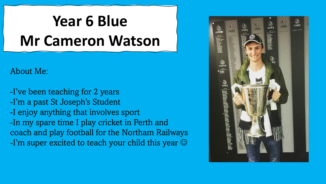# **Year 6 Blue Mr Cameron Watson**

#### About Me:

-I've been teaching for 2 years -I'm a past St Joseph's Student -I enjoy anything that involves sport -In my spare time I play cricket in Perth and coach and play football for the Northam Railways -I'm super excited to teach your child this year  $\odot$ 

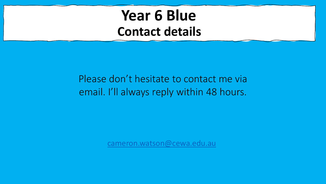#### **Year 6 Blue Contact details**

#### Please don't hesitate to contact me via email. I'll always reply within 48 hours.

[cameron.watson@cewa.edu.au](mailto:cameron.watson@cewa.edu.au)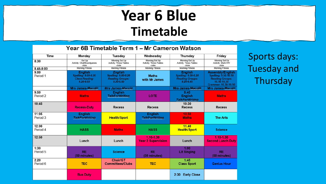#### **Year 6 Blue Timetable**

| Year 6B Timetable Term 1 – Mr Cameron Watson |                                                                                        |                                                                                         |                                                    |                                                                                         |                                                                                                           |  |  |
|----------------------------------------------|----------------------------------------------------------------------------------------|-----------------------------------------------------------------------------------------|----------------------------------------------------|-----------------------------------------------------------------------------------------|-----------------------------------------------------------------------------------------------------------|--|--|
| Time                                         | Monday                                                                                 | Tuesday                                                                                 | Wednesday                                          | Thursday                                                                                | Friday                                                                                                    |  |  |
| 8:30                                         | -Set Up<br>Activity: Chat/Boardgames<br>-Jobs                                          | -Morning Set Up<br>Activity: Times Tables<br>-Jobs                                      | -Morning Set Up<br>Activity: Times Tables<br>-Jobs | -Morning Set Up<br>Activity: Times Tables<br>-Jobs                                      | -Morning Set Up<br>Activity: Mark HW<br>-Jobs                                                             |  |  |
| 8.45-9.00                                    | <b>Morning Fitness</b>                                                                 | <b>Morning Fitness</b>                                                                  | <b>Morning Fitness</b>                             | <b>Morning Fitness</b>                                                                  | <b>Morning Fitness</b>                                                                                    |  |  |
| 9:00<br>Period 1                             | <b>English</b><br><b>Spelling: 9.00-9.20</b><br><b>Class Reading:</b><br>$9.20 - 9.50$ | <b>English</b><br><b>Spelling: 9.00-9.20</b><br><b>Reading Groups:</b><br>$9.20 - 9.50$ | <b>Maths</b><br>with Mr James                      | <b>English</b><br><b>Spelling: 9.00-9.20</b><br><b>Reading Groups:</b><br>$9.20 - 9.45$ | Assembly/English<br>Spelling: 9.50-10.10<br><b>Reading Groups:</b><br>10.10-10.30<br>Grammar: 10.30-10.50 |  |  |
|                                              | <b>Mrs James-Macqlit</b>                                                               | <b>Mrs James-Macalit</b>                                                                |                                                    | <b>Mrs James-Macalit</b>                                                                | <b>Mrs James-Macqlit</b>                                                                                  |  |  |
| 9:50<br>Period 2                             | <b>Maths</b>                                                                           | <b>English</b><br><b>TalkEorWriting</b>                                                 | <b>LOTE</b>                                        | 9:45<br><b>English</b><br><b>TalkForWriting</b>                                         | <b>Maths</b>                                                                                              |  |  |
| 10:45                                        | <b>Recess-Duty</b>                                                                     | Recess                                                                                  | <b>Recess</b>                                      | 10:30<br><b>Recess</b>                                                                  | <b>Recess</b>                                                                                             |  |  |
| 11:05<br>Period 3                            | <b>English</b><br><b>TalkForWriting</b>                                                | <b>Health/Sport</b>                                                                     | <b>English</b><br><b>JalkEorWriting</b>            | 10,50<br><b>Maths</b>                                                                   | <b>The Arts</b>                                                                                           |  |  |
| 12:00<br>Period 4                            | <b>HASS</b>                                                                            | <b>Maths</b>                                                                            | <b>HASS</b>                                        | 11.40<br><b>Health/Sport</b>                                                            | <b>Science</b>                                                                                            |  |  |
| 12:50                                        | Lunch                                                                                  | Lunch                                                                                   | $1.10 - 1.30$<br><b>Year 2 Supervision</b>         | Lunch                                                                                   | 1.10-1.30<br><b>Second Lunch Duty</b>                                                                     |  |  |
| 1:30<br>Period 5                             | <b>RE</b><br>(50 minutes)                                                              | <b>Science</b>                                                                          | <b>RE</b><br>(50 minutes)                          | 1.00<br><b>Lit Singing</b>                                                              | <b>RE</b><br>(50 minutes)                                                                                 |  |  |
| 2:20<br>Period 6                             | <b>TEC</b>                                                                             | Choir/GT<br><b>Committees/Clubs</b>                                                     | <b>TEC</b>                                         | 1:45<br><b>Class Sport</b>                                                              | <b>Genius Hour</b>                                                                                        |  |  |
|                                              | <b>Bus Duty</b>                                                                        |                                                                                         |                                                    | <b>Early Close</b><br>2:30                                                              |                                                                                                           |  |  |

Sports days: Tuesday and Thursday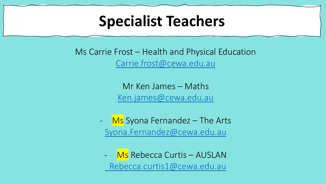#### **Specialist Teachers**

Ms Carrie Frost – Health and Physical Education [Carrie.frost@cewa.edu.au](mailto:Carrie.frost@cewa.edu.au)

> Mr Ken James – Maths [Ken.james@cewa.edu.au](mailto:Ken.james@cewa.edu.au)

Ms Syona Fernandez - The Arts [Syona.Fernandez@cewa.edu.au](mailto:Syona.Fernandez@cewa.edu.au)

Ms Rebecca Curtis – AUSLAN [Rebecca.curtis1@cewa.edu.au](mailto:Rebecca.curtis1@cewa.edu.au)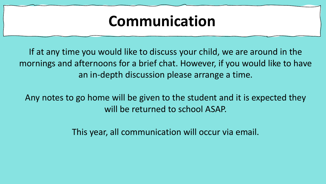#### **Communication**

If at any time you would like to discuss your child, we are around in the mornings and afternoons for a brief chat. However, if you would like to have an in-depth discussion please arrange a time.

Any notes to go home will be given to the student and it is expected they will be returned to school ASAP.

This year, all communication will occur via email.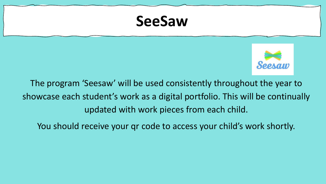#### **SeeSaw**



The program 'Seesaw' will be used consistently throughout the year to showcase each student's work as a digital portfolio. This will be continually updated with work pieces from each child.

You should receive your qr code to access your child's work shortly.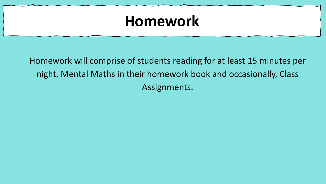#### **Homework**

Homework will comprise of students reading for at least 15 minutes per night, Mental Maths in their homework book and occasionally, Class Assignments.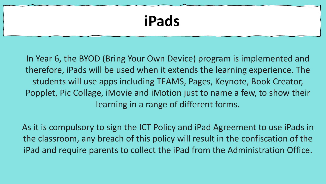## **iPads**

In Year 6, the BYOD (Bring Your Own Device) program is implemented and therefore, iPads will be used when it extends the learning experience. The students will use apps including TEAMS, Pages, Keynote, Book Creator, Popplet, Pic Collage, iMovie and iMotion just to name a few, to show their learning in a range of different forms.

As it is compulsory to sign the ICT Policy and iPad Agreement to use iPads in the classroom, any breach of this policy will result in the confiscation of the iPad and require parents to collect the iPad from the Administration Office.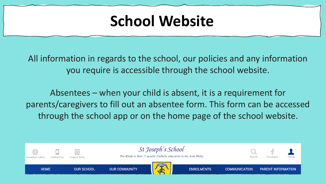#### **School Website**

All information in regards to the school, our policies and any information you require is accessible through the school website.

Absentees – when your child is absent, it is a requirement for parents/caregivers to fill out an absentee form. This form can be accessed through the school app or on the home page of the school website.

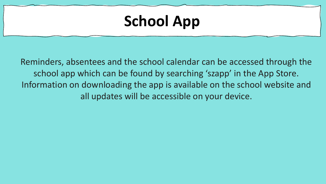## **School App**

Reminders, absentees and the school calendar can be accessed through the school app which can be found by searching 'szapp' in the App Store. Information on downloading the app is available on the school website and all updates will be accessible on your device.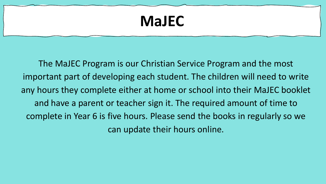#### **MaJEC**

The MaJEC Program is our Christian Service Program and the most important part of developing each student. The children will need to write any hours they complete either at home or school into their MaJEC booklet and have a parent or teacher sign it. The required amount of time to complete in Year 6 is five hours. Please send the books in regularly so we can update their hours online.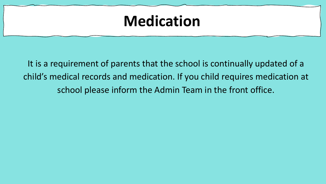#### **Medication**

It is a requirement of parents that the school is continually updated of a child's medical records and medication. If you child requires medication at school please inform the Admin Team in the front office.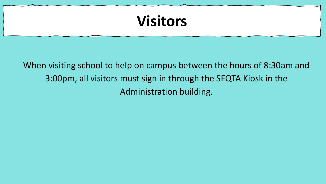## **Visitors**

When visiting school to help on campus between the hours of 8:30am and 3:00pm, all visitors must sign in through the SEQTA Kiosk in the Administration building.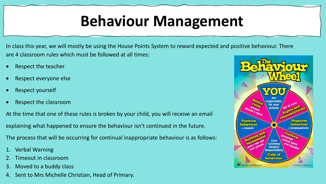## **Behaviour Management**

In class this year, we will mostly be using the House Points System to reward expected and positive behaviour. There are 4 classroom rules which must be followed at all times:

- Respect the teacher
- Respect everyone else
- Respect yourself
- Respect the classroom

At the time that one of these rules is broken by your child, you will receive an email explaining what happened to ensure the behaviour isn't continued in the future.

The process that will be occurring for continual inappropriate behaviour is as follows:

- **Verbal Warning**
- 2. Timeout in classroom
- Moved to a buddy class
- 4. Sent to Mrs Michelle Christian, Head of Primary.